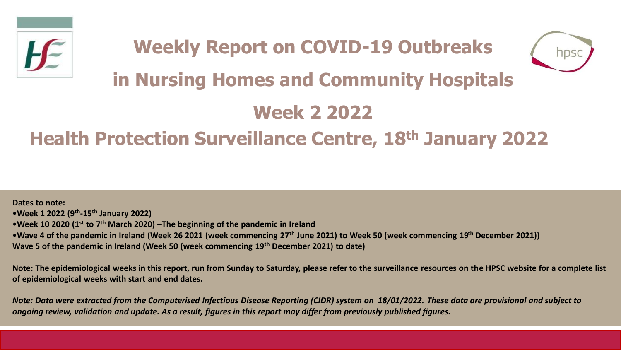



# **in Nursing Homes and Community Hospitals**

# **Week 2 2022**

## **Health Protection Surveillance Centre, 18th January 2022**

**Dates to note:** •**Week 1 2022 (9th -15th January 2022)** •**Week 10 2020 (1st to 7th March 2020) –The beginning of the pandemic in Ireland**  •**Wave 4 of the pandemic in Ireland (Week 26 2021 (week commencing 27th June 2021) to Week 50 (week commencing 19th December 2021)) Wave 5 of the pandemic in Ireland (Week 50 (week commencing 19th December 2021) to date)**

**Note: The epidemiological weeks in this report, run from Sunday to Saturday, please refer to the surveillance resources on the HPSC website for a complete list of epidemiological weeks with start and end dates.**

*Note: Data were extracted from the Computerised Infectious Disease Reporting (CIDR) system on 18/01/2022. These data are provisional and subject to ongoing review, validation and update. As a result, figures in this report may differ from previously published figures.*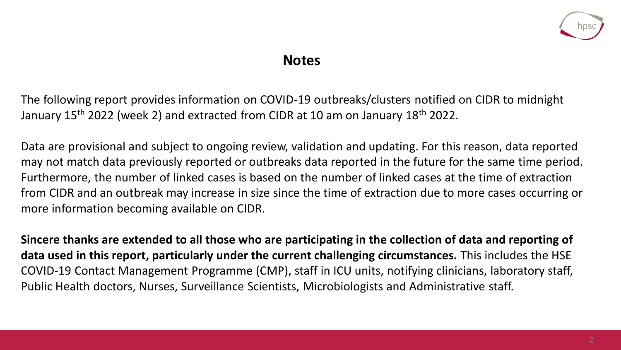

### **Notes**

The following report provides information on COVID-19 outbreaks/clusters notified on CIDR to midnight January 15<sup>th</sup> 2022 (week 2) and extracted from CIDR at 10 am on January 18<sup>th</sup> 2022.

Data are provisional and subject to ongoing review, validation and updating. For this reason, data reported may not match data previously reported or outbreaks data reported in the future for the same time period. Furthermore, the number of linked cases is based on the number of linked cases at the time of extraction from CIDR and an outbreak may increase in size since the time of extraction due to more cases occurring or more information becoming available on CIDR.

**Sincere thanks are extended to all those who are participating in the collection of data and reporting of data used in this report, particularly under the current challenging circumstances.** This includes the HSE COVID-19 Contact Management Programme (CMP), staff in ICU units, notifying clinicians, laboratory staff, Public Health doctors, Nurses, Surveillance Scientists, Microbiologists and Administrative staff.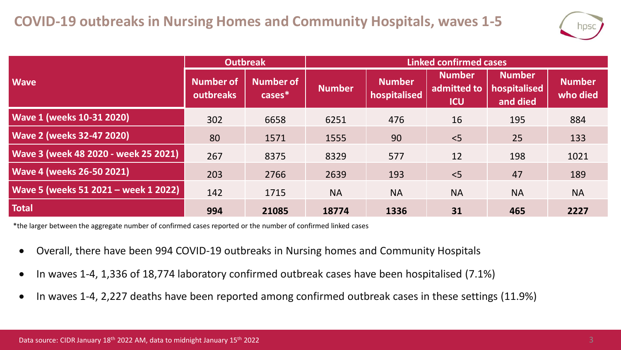

|                                      | <b>Outbreak</b>               |                     | <b>Linked confirmed cases</b> |                               |                                            |                                           |                           |  |
|--------------------------------------|-------------------------------|---------------------|-------------------------------|-------------------------------|--------------------------------------------|-------------------------------------------|---------------------------|--|
| <b>Wave</b>                          | <b>Number of</b><br>outbreaks | Number of<br>cases* | <b>Number</b>                 | <b>Number</b><br>hospitalised | <b>Number</b><br>admitted to<br><b>ICU</b> | <b>Number</b><br>hospitalised<br>and died | <b>Number</b><br>who died |  |
| <b>Wave 1 (weeks 10-31 2020)</b>     | 302                           | 6658                | 6251                          | 476                           | 16                                         | 195                                       | 884                       |  |
| <b>Wave 2 (weeks 32-47 2020)</b>     | 80                            | 1571                | 1555                          | 90                            | < 5                                        | 25                                        | 133                       |  |
| Wave 3 (week 48 2020 - week 25 2021) | 267                           | 8375                | 8329                          | 577                           | 12                                         | 198                                       | 1021                      |  |
| <b>Wave 4 (weeks 26-50 2021)</b>     | 203                           | 2766                | 2639                          | 193                           | < 5                                        | 47                                        | 189                       |  |
| Wave 5 (weeks 51 2021 - week 1 2022) | 142                           | 1715                | <b>NA</b>                     | <b>NA</b>                     | <b>NA</b>                                  | <b>NA</b>                                 | <b>NA</b>                 |  |
| <b>Total</b>                         | 994                           | 21085               | 18774                         | 1336                          | 31                                         | 465                                       | 2227                      |  |

\*the larger between the aggregate number of confirmed cases reported or the number of confirmed linked cases

- Overall, there have been 994 COVID-19 outbreaks in Nursing homes and Community Hospitals
- In waves 1-4, 1,336 of 18,774 laboratory confirmed outbreak cases have been hospitalised (7.1%)
- In waves 1-4, 2,227 deaths have been reported among confirmed outbreak cases in these settings (11.9%)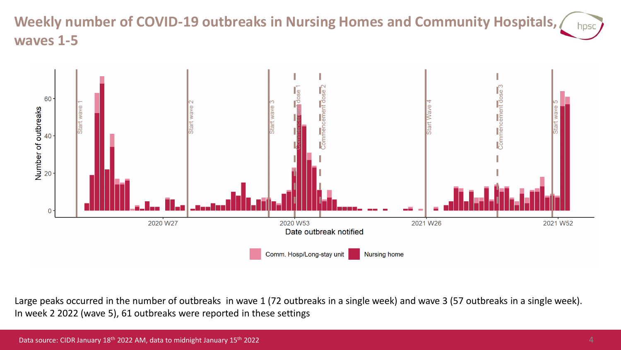#### **Weekly number of COVID-19 outbreaks in Nursing Homes and Community Hospitals,**  hpsc **waves 1-5**



Large peaks occurred in the number of outbreaks in wave 1 (72 outbreaks in a single week) and wave 3 (57 outbreaks in a single week). In week 2 2022 (wave 5), 61 outbreaks were reported in these settings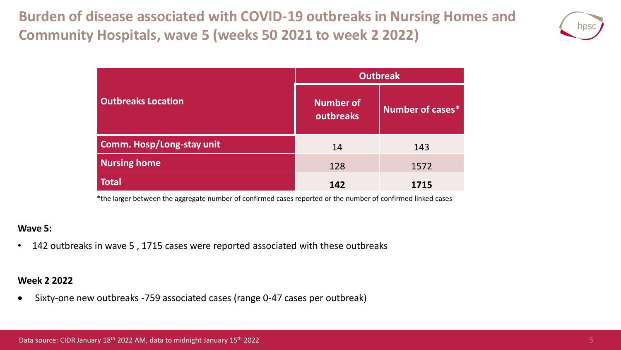**Burden of disease associated with COVID-19 outbreaks in Nursing Homes and Community Hospitals, wave 5 (weeks 50 2021 to week 2 2022)**



|                                  | <b>Outbreak</b>                      |                  |  |  |
|----------------------------------|--------------------------------------|------------------|--|--|
| <b>Outbreaks Location</b>        | <b>Number of</b><br><b>outbreaks</b> | Number of cases* |  |  |
| <b>Comm. Hosp/Long-stay unit</b> | 14                                   | 143              |  |  |
| <b>Nursing home</b>              | 128                                  | 1572             |  |  |
| <b>Total</b>                     | 142                                  | 1715             |  |  |

\*the larger between the aggregate number of confirmed cases reported or the number of confirmed linked cases

#### **Wave 5:**

• 142 outbreaks in wave 5 , 1715 cases were reported associated with these outbreaks

#### **Week 2 2022**

• Sixty-one new outbreaks -759 associated cases (range 0-47 cases per outbreak)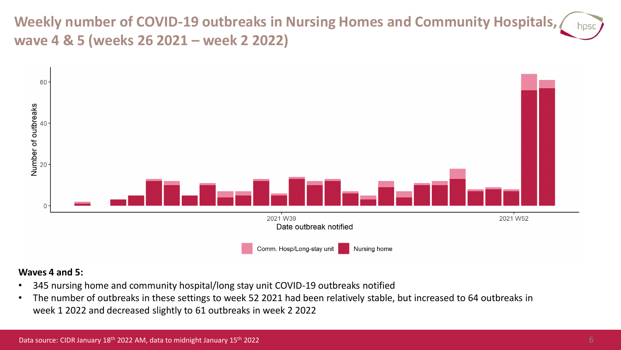**Weekly number of COVID-19 outbreaks in Nursing Homes and Community Hospitals, wave 4 & 5 (weeks 26 2021 – week 2 2022)**



#### **Waves 4 and 5:**

- 345 nursing home and community hospital/long stay unit COVID-19 outbreaks notified
- The number of outbreaks in these settings to week 52 2021 had been relatively stable, but increased to 64 outbreaks in week 1 2022 and decreased slightly to 61 outbreaks in week 2 2022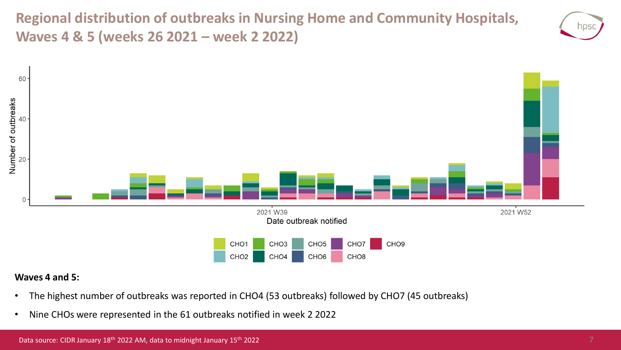**Regional distribution of outbreaks in Nursing Home and Community Hospitals, Waves 4 & 5 (weeks 26 2021 – week 2 2022)**





#### **Waves 4 and 5:**

- The highest number of outbreaks was reported in CHO4 (53 outbreaks) followed by CHO7 (45 outbreaks)
- Nine CHOs were represented in the 61 outbreaks notified in week 2 2022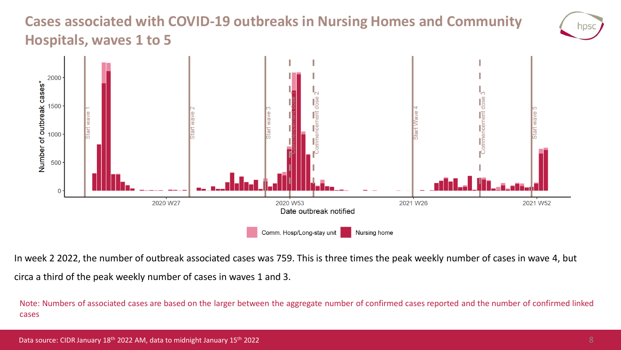### **Cases associated with COVID-19 outbreaks in Nursing Homes and Community Hospitals, waves 1 to 5**



In week 2 2022, the number of outbreak associated cases was 759. This is three times the peak weekly number of cases in wave 4, but circa a third of the peak weekly number of cases in waves 1 and 3.

Note: Numbers of associated cases are based on the larger between the aggregate number of confirmed cases reported and the number of confirmed linked cases

NDS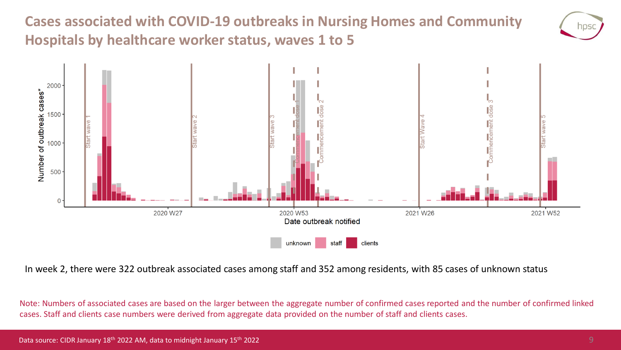**Cases associated with COVID-19 outbreaks in Nursing Homes and Community Hospitals by healthcare worker status, waves 1 to 5**





In week 2, there were 322 outbreak associated cases among staff and 352 among residents, with 85 cases of unknown status

Note: Numbers of associated cases are based on the larger between the aggregate number of confirmed cases reported and the number of confirmed linked cases. Staff and clients case numbers were derived from aggregate data provided on the number of staff and clients cases.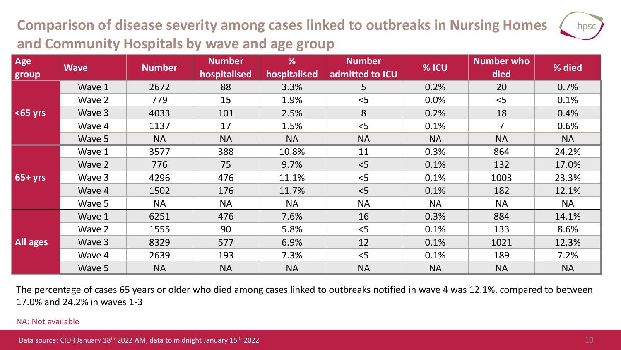## **Comparison of disease severity among cases linked to outbreaks in Nursing Homes and Community Hospitals by wave and age group**

| Age<br>group    | <b>Wave</b> | <b>Number</b> | <b>Number</b><br>hospitalised | %<br>hospitalised | <b>Number</b><br>admitted to ICU | % ICU     | Number who<br>died | % died    |
|-----------------|-------------|---------------|-------------------------------|-------------------|----------------------------------|-----------|--------------------|-----------|
| $65$ yrs        | Wave 1      | 2672          | 88                            | 3.3%              | 5                                | 0.2%      | 20                 | 0.7%      |
|                 | Wave 2      | 779           | 15                            | 1.9%              | < 5                              | 0.0%      | < 5                | 0.1%      |
|                 | Wave 3      | 4033          | 101                           | 2.5%              | 8                                | 0.2%      | 18                 | 0.4%      |
|                 | Wave 4      | 1137          | 17                            | 1.5%              | < 5                              | 0.1%      | $\overline{7}$     | 0.6%      |
|                 | Wave 5      | <b>NA</b>     | <b>NA</b>                     | <b>NA</b>         | <b>NA</b>                        | <b>NA</b> | <b>NA</b>          | <b>NA</b> |
| $65+yrs$        | Wave 1      | 3577          | 388                           | 10.8%             | 11                               | 0.3%      | 864                | 24.2%     |
|                 | Wave 2      | 776           | 75                            | 9.7%              | < 5                              | 0.1%      | 132                | 17.0%     |
|                 | Wave 3      | 4296          | 476                           | 11.1%             | < 5                              | 0.1%      | 1003               | 23.3%     |
|                 | Wave 4      | 1502          | 176                           | 11.7%             | < 5                              | 0.1%      | 182                | 12.1%     |
|                 | Wave 5      | <b>NA</b>     | <b>NA</b>                     | <b>NA</b>         | <b>NA</b>                        | <b>NA</b> | <b>NA</b>          | <b>NA</b> |
| <b>All ages</b> | Wave 1      | 6251          | 476                           | 7.6%              | 16                               | 0.3%      | 884                | 14.1%     |
|                 | Wave 2      | 1555          | 90                            | 5.8%              | < 5                              | 0.1%      | 133                | 8.6%      |
|                 | Wave 3      | 8329          | 577                           | 6.9%              | 12                               | 0.1%      | 1021               | 12.3%     |
|                 | Wave 4      | 2639          | 193                           | 7.3%              | < 5                              | 0.1%      | 189                | 7.2%      |
|                 | Wave 5      | <b>NA</b>     | <b>NA</b>                     | <b>NA</b>         | <b>NA</b>                        | <b>NA</b> | <b>NA</b>          | <b>NA</b> |

The percentage of cases 65 years or older who died among cases linked to outbreaks notified in wave 4 was 12.1%, compared to between 17.0% and 24.2% in waves 1-3

#### NA: Not available

hpsc